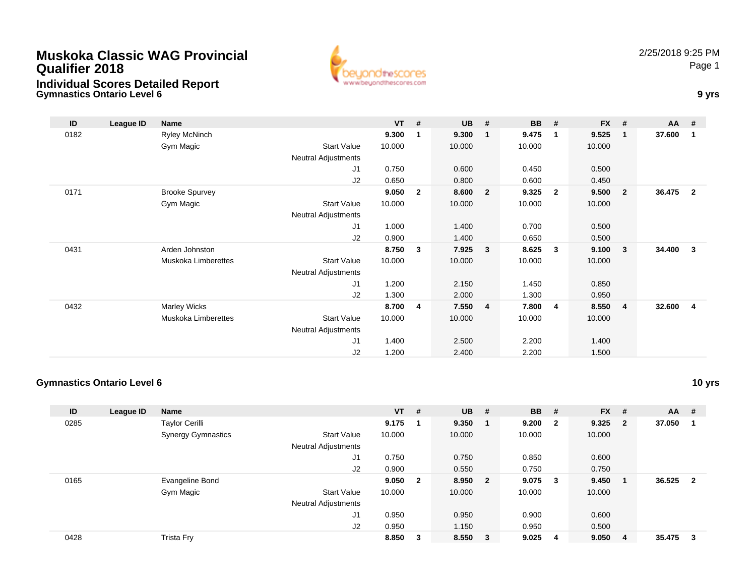

**Gymnastics Ontario Level 6 9 yrs Individual Scores Detailed Report**

| ID   | League ID | Name                       |                            | $VT$ # |              | <b>UB</b> | #              | <b>BB</b> | #              | <b>FX</b> | #                       | AA     | #              |
|------|-----------|----------------------------|----------------------------|--------|--------------|-----------|----------------|-----------|----------------|-----------|-------------------------|--------|----------------|
| 0182 |           | Ryley McNinch              |                            | 9.300  | 1            | 9.300     | 1              | 9.475     | $\mathbf 1$    | 9.525     | -1                      | 37.600 | $\mathbf{1}$   |
|      |           | Gym Magic                  | <b>Start Value</b>         | 10.000 |              | 10.000    |                | 10.000    |                | 10.000    |                         |        |                |
|      |           |                            | Neutral Adjustments        |        |              |           |                |           |                |           |                         |        |                |
|      |           |                            | J <sub>1</sub>             | 0.750  |              | 0.600     |                | 0.450     |                | 0.500     |                         |        |                |
|      |           |                            | J2                         | 0.650  |              | 0.800     |                | 0.600     |                | 0.450     |                         |        |                |
| 0171 |           | <b>Brooke Spurvey</b>      |                            | 9.050  | $\mathbf{2}$ | 8.600     | $\overline{2}$ | 9.325     | $\overline{2}$ | 9.500     | $\overline{\mathbf{2}}$ | 36.475 | $\overline{2}$ |
|      |           | Gym Magic                  | <b>Start Value</b>         | 10.000 |              | 10.000    |                | 10.000    |                | 10.000    |                         |        |                |
|      |           |                            | Neutral Adjustments        |        |              |           |                |           |                |           |                         |        |                |
|      |           |                            | J1                         | 1.000  |              | 1.400     |                | 0.700     |                | 0.500     |                         |        |                |
|      |           |                            | J2                         | 0.900  |              | 1.400     |                | 0.650     |                | 0.500     |                         |        |                |
| 0431 |           | Arden Johnston             |                            | 8.750  | 3            | 7.925     | $\mathbf{3}$   | 8.625     | 3              | 9.100     | $\mathbf{3}$            | 34.400 | $\mathbf{3}$   |
|      |           | <b>Muskoka Limberettes</b> | <b>Start Value</b>         | 10.000 |              | 10.000    |                | 10.000    |                | 10.000    |                         |        |                |
|      |           |                            | Neutral Adjustments        |        |              |           |                |           |                |           |                         |        |                |
|      |           |                            | J1                         | 1.200  |              | 2.150     |                | 1.450     |                | 0.850     |                         |        |                |
|      |           |                            | J2                         | 1.300  |              | 2.000     |                | 1.300     |                | 0.950     |                         |        |                |
| 0432 |           | Marley Wicks               |                            | 8.700  | 4            | 7.550     | $\overline{4}$ | 7.800     | 4              | 8.550     | $\overline{4}$          | 32.600 | -4             |
|      |           | Muskoka Limberettes        | <b>Start Value</b>         | 10.000 |              | 10.000    |                | 10.000    |                | 10.000    |                         |        |                |
|      |           |                            | <b>Neutral Adjustments</b> |        |              |           |                |           |                |           |                         |        |                |
|      |           |                            | J1                         | 1.400  |              | 2.500     |                | 2.200     |                | 1.400     |                         |        |                |
|      |           |                            | J2                         | 1.200  |              | 2.400     |                | 2.200     |                | 1.500     |                         |        |                |

#### **Gymnastics Ontario Level 6**

**10 yrs**

| ID   | League ID | <b>Name</b>               |                            | $VT$ # |                | $UB$ #  |                | <b>BB</b>   | #                       | $FX$ # |                         | <b>AA</b> | #                       |
|------|-----------|---------------------------|----------------------------|--------|----------------|---------|----------------|-------------|-------------------------|--------|-------------------------|-----------|-------------------------|
| 0285 |           | <b>Taylor Cerilli</b>     |                            | 9.175  |                | 9.350   | $\overline{1}$ | 9.200       | $\overline{\mathbf{2}}$ | 9.325  | $\overline{\mathbf{2}}$ | 37.050    |                         |
|      |           | <b>Synergy Gymnastics</b> | <b>Start Value</b>         | 10.000 |                | 10.000  |                | 10.000      |                         | 10.000 |                         |           |                         |
|      |           |                           | <b>Neutral Adjustments</b> |        |                |         |                |             |                         |        |                         |           |                         |
|      |           |                           | J1                         | 0.750  |                | 0.750   |                | 0.850       |                         | 0.600  |                         |           |                         |
|      |           |                           | J2                         | 0.900  |                | 0.550   |                | 0.750       |                         | 0.750  |                         |           |                         |
| 0165 |           | Evangeline Bond           |                            | 9.050  | $\overline{2}$ | 8.950 2 |                | $9.075 \t3$ |                         | 9.450  | - 1                     | 36.525    | $\overline{\mathbf{2}}$ |
|      |           | Gym Magic                 | <b>Start Value</b>         | 10.000 |                | 10.000  |                | 10.000      |                         | 10.000 |                         |           |                         |
|      |           |                           | <b>Neutral Adjustments</b> |        |                |         |                |             |                         |        |                         |           |                         |
|      |           |                           | J1                         | 0.950  |                | 0.950   |                | 0.900       |                         | 0.600  |                         |           |                         |
|      |           |                           | J2                         | 0.950  |                | 1.150   |                | 0.950       |                         | 0.500  |                         |           |                         |
| 0428 |           | Trista Fry                |                            | 8.850  | 3              | 8.550 3 |                | 9.025       | -4                      | 9.050  | -4                      | 35.475    | - 3                     |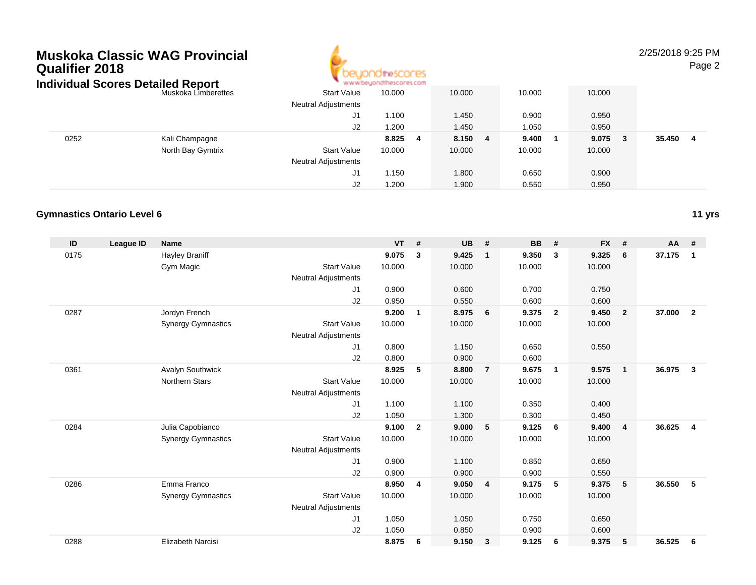

2/25/2018 9:25 PM

Page 2

|      | Individual Scores Detailed Report |                            | www.beyondthescores.com |         |        |              |             |
|------|-----------------------------------|----------------------------|-------------------------|---------|--------|--------------|-------------|
|      | Muskoka Limberettes               | <b>Start Value</b>         | 10.000                  | 10.000  | 10.000 | 10.000       |             |
|      |                                   | <b>Neutral Adjustments</b> |                         |         |        |              |             |
|      |                                   | J1                         | 1.100                   | 1.450   | 0.900  | 0.950        |             |
|      |                                   | J2                         | .200                    | 1.450   | 1.050  | 0.950        |             |
| 0252 | Kali Champagne                    |                            | 8.825<br>-4             | 8.150 4 | 9.400  | 9.075<br>- 3 | 35.450<br>4 |
|      | North Bay Gymtrix                 | <b>Start Value</b>         | 10.000                  | 10.000  | 10.000 | 10.000       |             |
|      |                                   | <b>Neutral Adjustments</b> |                         |         |        |              |             |
|      |                                   | J1                         | 1.150                   | 1.800   | 0.650  | 0.900        |             |
|      |                                   | J2                         | 1.200                   | 1.900   | 0.550  | 0.950        |             |

#### **Gymnastics Ontario Level 6**

| ID   | League ID | <b>Name</b>               |                            | <b>VT</b> | #              | <b>UB</b> | #              | <b>BB</b> | #              | <b>FX</b> | #              | $AA$ # |                |
|------|-----------|---------------------------|----------------------------|-----------|----------------|-----------|----------------|-----------|----------------|-----------|----------------|--------|----------------|
| 0175 |           | Hayley Braniff            |                            | 9.075     | 3              | 9.425     | $\overline{1}$ | 9.350     | 3              | 9.325     | 6              | 37.175 | $\mathbf{1}$   |
|      |           | Gym Magic                 | <b>Start Value</b>         | 10.000    |                | 10.000    |                | 10.000    |                | 10.000    |                |        |                |
|      |           |                           | <b>Neutral Adjustments</b> |           |                |           |                |           |                |           |                |        |                |
|      |           |                           | J1                         | 0.900     |                | 0.600     |                | 0.700     |                | 0.750     |                |        |                |
|      |           |                           | J2                         | 0.950     |                | 0.550     |                | 0.600     |                | 0.600     |                |        |                |
| 0287 |           | Jordyn French             |                            | 9.200     | $\mathbf{1}$   | 8.975     | 6              | 9.375     | $\overline{2}$ | 9.450     | $\overline{2}$ | 37.000 | $\overline{2}$ |
|      |           | <b>Synergy Gymnastics</b> | <b>Start Value</b>         | 10.000    |                | 10.000    |                | 10.000    |                | 10.000    |                |        |                |
|      |           |                           | <b>Neutral Adjustments</b> |           |                |           |                |           |                |           |                |        |                |
|      |           |                           | J <sub>1</sub>             | 0.800     |                | 1.150     |                | 0.650     |                | 0.550     |                |        |                |
|      |           |                           | J2                         | 0.800     |                | 0.900     |                | 0.600     |                |           |                |        |                |
| 0361 |           | Avalyn Southwick          |                            | 8.925     | 5              | 8.800     | $\overline{7}$ | 9.675     | $\mathbf 1$    | 9.575     | $\mathbf{1}$   | 36.975 | 3              |
|      |           | <b>Northern Stars</b>     | <b>Start Value</b>         | 10.000    |                | 10.000    |                | 10.000    |                | 10.000    |                |        |                |
|      |           |                           | <b>Neutral Adjustments</b> |           |                |           |                |           |                |           |                |        |                |
|      |           |                           | J <sub>1</sub>             | 1.100     |                | 1.100     |                | 0.350     |                | 0.400     |                |        |                |
|      |           |                           | J2                         | 1.050     |                | 1.300     |                | 0.300     |                | 0.450     |                |        |                |
| 0284 |           | Julia Capobianco          |                            | 9.100     | $\mathbf{2}$   | 9.000     | 5              | 9.125     | - 6            | 9.400     | 4              | 36.625 | $\overline{4}$ |
|      |           | <b>Synergy Gymnastics</b> | <b>Start Value</b>         | 10.000    |                | 10.000    |                | 10.000    |                | 10.000    |                |        |                |
|      |           |                           | <b>Neutral Adjustments</b> |           |                |           |                |           |                |           |                |        |                |
|      |           |                           | J1                         | 0.900     |                | 1.100     |                | 0.850     |                | 0.650     |                |        |                |
|      |           |                           | J2                         | 0.900     |                | 0.900     |                | 0.900     |                | 0.550     |                |        |                |
| 0286 |           | Emma Franco               |                            | 8.950     | $\overline{4}$ | 9.050     | $\overline{4}$ | 9.175     | 5              | 9.375     | 5              | 36.550 | 5              |
|      |           | <b>Synergy Gymnastics</b> | <b>Start Value</b>         | 10.000    |                | 10.000    |                | 10.000    |                | 10.000    |                |        |                |
|      |           |                           | <b>Neutral Adjustments</b> |           |                |           |                |           |                |           |                |        |                |
|      |           |                           | J <sub>1</sub>             | 1.050     |                | 1.050     |                | 0.750     |                | 0.650     |                |        |                |
|      |           |                           | J2                         | 1.050     |                | 0.850     |                | 0.900     |                | 0.600     |                |        |                |
| 0288 |           | <b>Elizabeth Narcisi</b>  |                            | 8.875     | 6              | 9.150     | $\mathbf{3}$   | 9.125     | 6              | 9.375     | 5              | 36.525 | 6              |

**11 yrs**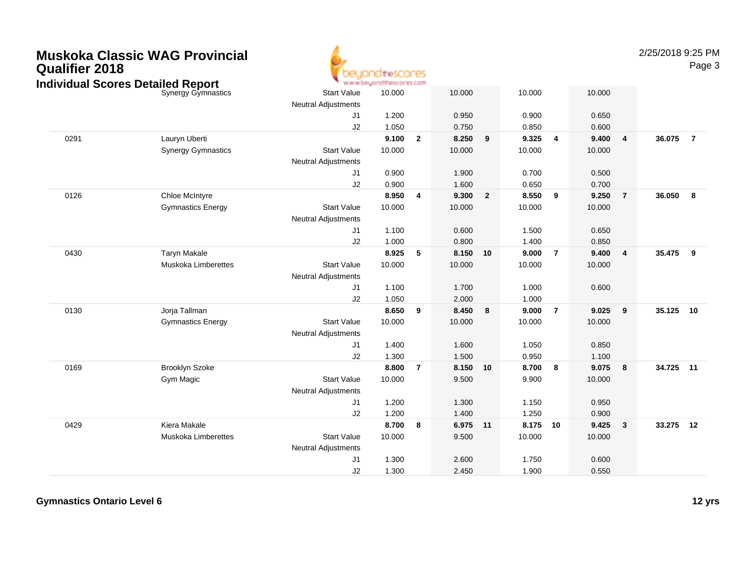| <b>Qualifier 2018</b> | <b>Muskoka Classic WAG Provincial</b><br><b>Individual Scores Detailed Report</b> |                                                  | <b>JONOtheSCONES</b><br>www.beyondthescores.com |                         |        |                |        |                         |        |                | 2/25/2018 9:25 PM | Page 3         |
|-----------------------|-----------------------------------------------------------------------------------|--------------------------------------------------|-------------------------------------------------|-------------------------|--------|----------------|--------|-------------------------|--------|----------------|-------------------|----------------|
|                       | Synergy Gymnastics                                                                | <b>Start Value</b><br><b>Neutral Adjustments</b> | 10.000                                          |                         | 10.000 |                | 10.000 |                         | 10.000 |                |                   |                |
|                       |                                                                                   | J <sub>1</sub>                                   | 1.200                                           |                         | 0.950  |                | 0.900  |                         | 0.650  |                |                   |                |
|                       |                                                                                   | J2                                               | 1.050                                           |                         | 0.750  |                | 0.850  |                         | 0.600  |                |                   |                |
| 0291                  | Lauryn Uberti                                                                     |                                                  | 9.100                                           | $\overline{\mathbf{2}}$ | 8.250  | 9              | 9.325  | $\overline{4}$          | 9.400  | $\overline{4}$ | 36.075            | $\overline{7}$ |
|                       | <b>Synergy Gymnastics</b>                                                         | <b>Start Value</b>                               | 10.000                                          |                         | 10.000 |                | 10.000 |                         | 10.000 |                |                   |                |
|                       |                                                                                   | <b>Neutral Adjustments</b>                       |                                                 |                         |        |                |        |                         |        |                |                   |                |
|                       |                                                                                   | J1                                               | 0.900                                           |                         | 1.900  |                | 0.700  |                         | 0.500  |                |                   |                |
|                       |                                                                                   | J2                                               | 0.900                                           |                         | 1.600  |                | 0.650  |                         | 0.700  |                |                   |                |
| 0126                  | Chloe McIntyre                                                                    |                                                  | 8.950                                           | $\overline{4}$          | 9.300  | $\overline{2}$ | 8.550  | 9                       | 9.250  | $\overline{7}$ | 36.050            | 8              |
|                       | <b>Gymnastics Energy</b>                                                          | <b>Start Value</b>                               | 10.000                                          |                         | 10.000 |                | 10.000 |                         | 10.000 |                |                   |                |
|                       |                                                                                   | <b>Neutral Adjustments</b>                       |                                                 |                         |        |                |        |                         |        |                |                   |                |
|                       |                                                                                   | J1                                               | 1.100                                           |                         | 0.600  |                | 1.500  |                         | 0.650  |                |                   |                |
|                       |                                                                                   | J2                                               | 1.000                                           |                         | 0.800  |                | 1.400  |                         | 0.850  |                |                   |                |
| 0430                  | <b>Taryn Makale</b>                                                               |                                                  | 8.925                                           | 5                       | 8.150  | 10             | 9.000  | $\overline{7}$          | 9.400  | $\overline{4}$ | 35.475            | 9              |
|                       | <b>Muskoka Limberettes</b>                                                        | <b>Start Value</b>                               | 10.000                                          |                         | 10.000 |                | 10.000 |                         | 10.000 |                |                   |                |
|                       |                                                                                   | <b>Neutral Adjustments</b>                       |                                                 |                         |        |                |        |                         |        |                |                   |                |
|                       |                                                                                   | J1                                               | 1.100                                           |                         | 1.700  |                | 1.000  |                         | 0.600  |                |                   |                |
|                       |                                                                                   | J2                                               | 1.050                                           |                         | 2.000  |                | 1.000  |                         |        |                |                   |                |
| 0130                  | Jorja Tallman                                                                     |                                                  | 8.650                                           | 9                       | 8.450  | 8              | 9.000  | $\overline{7}$          | 9.025  | 9              | 35.125            | 10             |
|                       | <b>Gymnastics Energy</b>                                                          | <b>Start Value</b>                               | 10.000                                          |                         | 10.000 |                | 10.000 |                         | 10.000 |                |                   |                |
|                       |                                                                                   | <b>Neutral Adjustments</b>                       |                                                 |                         |        |                |        |                         |        |                |                   |                |
|                       |                                                                                   | J1                                               | 1.400                                           |                         | 1.600  |                | 1.050  |                         | 0.850  |                |                   |                |
|                       |                                                                                   | J2                                               | 1.300                                           |                         | 1.500  |                | 0.950  |                         | 1.100  |                |                   |                |
| 0169                  | <b>Brooklyn Szoke</b>                                                             |                                                  | 8.800                                           | $\overline{7}$          | 8.150  | 10             | 8.700  | $\overline{\mathbf{8}}$ | 9.075  | 8              | 34.725 11         |                |
|                       | Gym Magic                                                                         | <b>Start Value</b>                               | 10.000                                          |                         | 9.500  |                | 9.900  |                         | 10.000 |                |                   |                |
|                       |                                                                                   | <b>Neutral Adjustments</b>                       |                                                 |                         |        |                |        |                         |        |                |                   |                |
|                       |                                                                                   | J1                                               | 1.200                                           |                         | 1.300  |                | 1.150  |                         | 0.950  |                |                   |                |
|                       |                                                                                   | J2                                               | 1.200                                           |                         | 1.400  |                | 1.250  |                         | 0.900  |                |                   |                |
| 0429                  | Kiera Makale                                                                      |                                                  | 8.700                                           | 8                       | 6.975  | 11             | 8.175  | 10                      | 9.425  | $\mathbf{3}$   | 33.275            | 12             |
|                       | Muskoka Limberettes                                                               | <b>Start Value</b>                               | 10.000                                          |                         | 9.500  |                | 10.000 |                         | 10.000 |                |                   |                |
|                       |                                                                                   | Neutral Adjustments                              |                                                 |                         |        |                |        |                         |        |                |                   |                |
|                       |                                                                                   | J <sub>1</sub>                                   | 1.300                                           |                         | 2.600  |                | 1.750  |                         | 0.600  |                |                   |                |
|                       |                                                                                   | J2                                               | 1.300                                           |                         | 2.450  |                | 1.900  |                         | 0.550  |                |                   |                |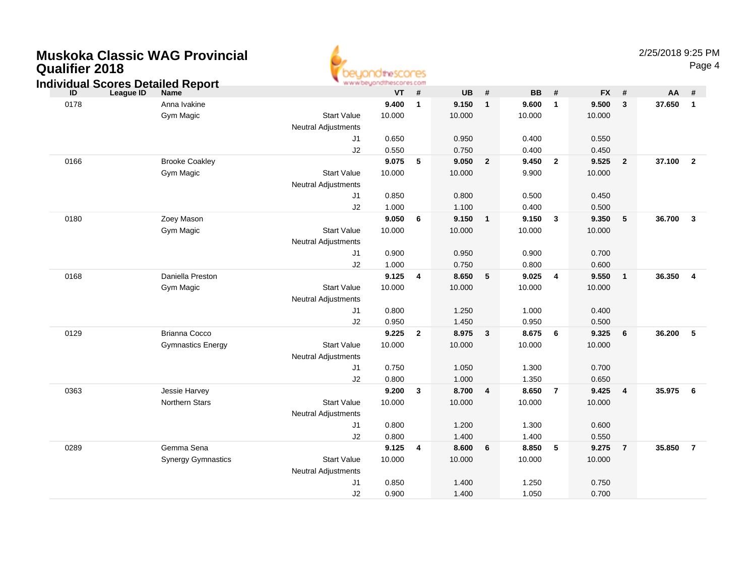| Muskoka Classic WAG Provincial |  |
|--------------------------------|--|
| Qualifier 2018                 |  |



Page 4

|      | Individual Scores Detailed Report |                            | www.beyondthescores.com |                         |        |                 |        |                |           |                            |          |                         |
|------|-----------------------------------|----------------------------|-------------------------|-------------------------|--------|-----------------|--------|----------------|-----------|----------------------------|----------|-------------------------|
| ID   | <b>Name</b><br>League ID          |                            | VT                      | #                       | UB     | #               | BB     | #              | <b>FX</b> | #                          | AA       | #                       |
| 0178 | Anna Ivakine                      |                            | 9.400                   | $\overline{1}$          | 9.150  | $\mathbf{1}$    | 9.600  | 1              | 9.500     | $\mathbf{3}$               | 37.650   | $\mathbf{1}$            |
|      | Gym Magic                         | <b>Start Value</b>         | 10.000                  |                         | 10.000 |                 | 10.000 |                | 10.000    |                            |          |                         |
|      |                                   | Neutral Adjustments        |                         |                         |        |                 |        |                |           |                            |          |                         |
|      |                                   | J1                         | 0.650                   |                         | 0.950  |                 | 0.400  |                | 0.550     |                            |          |                         |
|      |                                   | J2                         | 0.550                   |                         | 0.750  |                 | 0.400  |                | 0.450     |                            |          |                         |
| 0166 | <b>Brooke Coakley</b>             |                            | 9.075                   | $\sqrt{5}$              | 9.050  | $\mathbf{2}$    | 9.450  | $\mathbf{2}$   | 9.525     | $\overline{\mathbf{2}}$    | 37.100   | $\overline{\mathbf{2}}$ |
|      | Gym Magic                         | <b>Start Value</b>         | 10.000                  |                         | 10.000 |                 | 9.900  |                | 10.000    |                            |          |                         |
|      |                                   | Neutral Adjustments        |                         |                         |        |                 |        |                |           |                            |          |                         |
|      |                                   | J1                         | 0.850                   |                         | 0.800  |                 | 0.500  |                | 0.450     |                            |          |                         |
|      |                                   | J2                         | 1.000                   |                         | 1.100  |                 | 0.400  |                | 0.500     |                            |          |                         |
| 0180 | Zoey Mason                        |                            | 9.050                   | 6                       | 9.150  | $\mathbf{1}$    | 9.150  | $\mathbf{3}$   | 9.350     | $5\phantom{1}$             | 36.700   | $\overline{\mathbf{3}}$ |
|      | Gym Magic                         | <b>Start Value</b>         | 10.000                  |                         | 10.000 |                 | 10.000 |                | 10.000    |                            |          |                         |
|      |                                   | <b>Neutral Adjustments</b> |                         |                         |        |                 |        |                |           |                            |          |                         |
|      |                                   | J1                         | 0.900                   |                         | 0.950  |                 | 0.900  |                | 0.700     |                            |          |                         |
|      |                                   | J2                         | 1.000                   |                         | 0.750  |                 | 0.800  |                | 0.600     |                            |          |                         |
| 0168 | Daniella Preston                  |                            | 9.125                   | $\overline{\mathbf{4}}$ | 8.650  | 5               | 9.025  | 4              | 9.550     | $\overline{\phantom{0}}$ 1 | 36.350   | $\overline{4}$          |
|      | Gym Magic                         | <b>Start Value</b>         | 10.000                  |                         | 10.000 |                 | 10.000 |                | 10.000    |                            |          |                         |
|      |                                   | <b>Neutral Adjustments</b> |                         |                         |        |                 |        |                |           |                            |          |                         |
|      |                                   | J1                         | 0.800                   |                         | 1.250  |                 | 1.000  |                | 0.400     |                            |          |                         |
|      |                                   | J2                         | 0.950                   |                         | 1.450  |                 | 0.950  |                | 0.500     |                            |          |                         |
| 0129 | Brianna Cocco                     |                            | 9.225                   | $\overline{2}$          | 8.975  | 3               | 8.675  | 6              | 9.325     | 6                          | 36.200   | 5                       |
|      | <b>Gymnastics Energy</b>          | <b>Start Value</b>         | 10.000                  |                         | 10.000 |                 | 10.000 |                | 10.000    |                            |          |                         |
|      |                                   | <b>Neutral Adjustments</b> |                         |                         |        |                 |        |                |           |                            |          |                         |
|      |                                   | J1                         | 0.750                   |                         | 1.050  |                 | 1.300  |                | 0.700     |                            |          |                         |
|      |                                   | J2                         | 0.800                   |                         | 1.000  |                 | 1.350  |                | 0.650     |                            |          |                         |
| 0363 | Jessie Harvey                     |                            | 9.200                   | $\mathbf{3}$            | 8.700  | 4               | 8.650  | $\overline{7}$ | 9.425     | $\overline{\mathbf{4}}$    | 35.975 6 |                         |
|      | <b>Northern Stars</b>             | <b>Start Value</b>         | 10.000                  |                         | 10.000 |                 | 10.000 |                | 10.000    |                            |          |                         |
|      |                                   | <b>Neutral Adjustments</b> |                         |                         |        |                 |        |                |           |                            |          |                         |
|      |                                   | J1                         | 0.800                   |                         | 1.200  |                 | 1.300  |                | 0.600     |                            |          |                         |
|      |                                   | J2                         | 0.800                   |                         | 1.400  |                 | 1.400  |                | 0.550     |                            |          |                         |
| 0289 | Gemma Sena                        |                            | 9.125                   | 4                       | 8.600  | $6\phantom{1}6$ | 8.850  | 5              | 9.275     | $\overline{7}$             | 35.850   | $\overline{7}$          |
|      | <b>Synergy Gymnastics</b>         | <b>Start Value</b>         | 10.000                  |                         | 10.000 |                 | 10.000 |                | 10.000    |                            |          |                         |
|      |                                   | Neutral Adjustments        |                         |                         |        |                 |        |                |           |                            |          |                         |
|      |                                   | J <sub>1</sub>             | 0.850                   |                         | 1.400  |                 | 1.250  |                | 0.750     |                            |          |                         |
|      |                                   | J2                         | 0.900                   |                         | 1.400  |                 | 1.050  |                | 0.700     |                            |          |                         |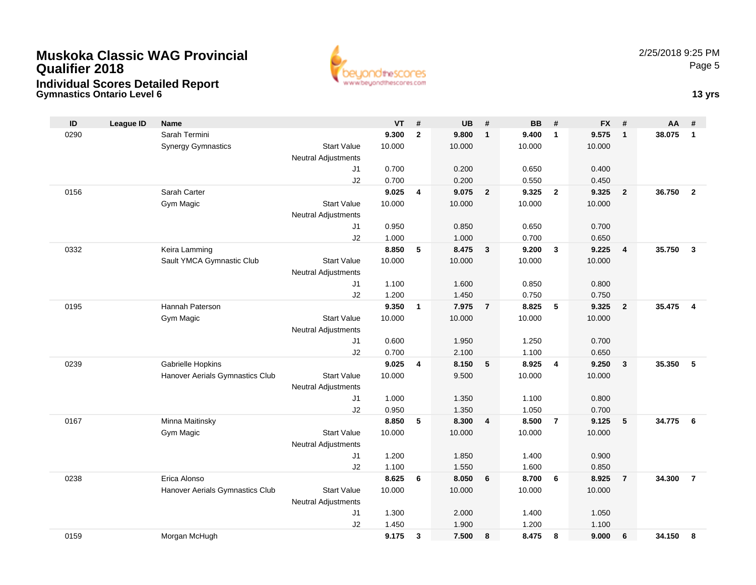

#### **Gymnastics Ontario Level 6 13 yrs Individual Scores Detailed Report**

| ID   | <b>League ID</b> | <b>Name</b>                     |                            | <b>VT</b> | #              | <b>UB</b> | #                       | <b>BB</b> | #              | <b>FX</b> | #              | AA     | #              |
|------|------------------|---------------------------------|----------------------------|-----------|----------------|-----------|-------------------------|-----------|----------------|-----------|----------------|--------|----------------|
| 0290 |                  | Sarah Termini                   |                            | 9.300     | $\overline{2}$ | 9.800     | $\mathbf{1}$            | 9.400     | $\mathbf{1}$   | 9.575     | $\mathbf{1}$   | 38.075 | $\mathbf{1}$   |
|      |                  | <b>Synergy Gymnastics</b>       | <b>Start Value</b>         | 10.000    |                | 10.000    |                         | 10.000    |                | 10.000    |                |        |                |
|      |                  |                                 | <b>Neutral Adjustments</b> |           |                |           |                         |           |                |           |                |        |                |
|      |                  |                                 | J <sub>1</sub>             | 0.700     |                | 0.200     |                         | 0.650     |                | 0.400     |                |        |                |
|      |                  |                                 | J2                         | 0.700     |                | 0.200     |                         | 0.550     |                | 0.450     |                |        |                |
| 0156 |                  | Sarah Carter                    |                            | 9.025     | 4              | 9.075     | $\overline{\mathbf{2}}$ | 9.325     | $\overline{2}$ | 9.325     | $\overline{2}$ | 36.750 | $\overline{2}$ |
|      |                  | Gym Magic                       | <b>Start Value</b>         | 10.000    |                | 10.000    |                         | 10.000    |                | 10.000    |                |        |                |
|      |                  |                                 | <b>Neutral Adjustments</b> |           |                |           |                         |           |                |           |                |        |                |
|      |                  |                                 | J1                         | 0.950     |                | 0.850     |                         | 0.650     |                | 0.700     |                |        |                |
|      |                  |                                 | J2                         | 1.000     |                | 1.000     |                         | 0.700     |                | 0.650     |                |        |                |
| 0332 |                  | Keira Lamming                   |                            | 8.850     | 5              | 8.475     | $\overline{\mathbf{3}}$ | 9.200     | $\mathbf{3}$   | 9.225     | $\overline{4}$ | 35.750 | $\mathbf{3}$   |
|      |                  | Sault YMCA Gymnastic Club       | <b>Start Value</b>         | 10.000    |                | 10.000    |                         | 10.000    |                | 10.000    |                |        |                |
|      |                  |                                 | <b>Neutral Adjustments</b> |           |                |           |                         |           |                |           |                |        |                |
|      |                  |                                 | J <sub>1</sub>             | 1.100     |                | 1.600     |                         | 0.850     |                | 0.800     |                |        |                |
|      |                  |                                 | J2                         | 1.200     |                | 1.450     |                         | 0.750     |                | 0.750     |                |        |                |
| 0195 |                  | Hannah Paterson                 |                            | 9.350     | $\mathbf{1}$   | 7.975     | $\overline{7}$          | 8.825     | 5              | 9.325     | $\overline{2}$ | 35.475 | $\overline{4}$ |
|      |                  | Gym Magic                       | <b>Start Value</b>         | 10.000    |                | 10.000    |                         | 10.000    |                | 10.000    |                |        |                |
|      |                  |                                 | <b>Neutral Adjustments</b> |           |                |           |                         |           |                |           |                |        |                |
|      |                  |                                 | J1                         | 0.600     |                | 1.950     |                         | 1.250     |                | 0.700     |                |        |                |
|      |                  |                                 | J2                         | 0.700     |                | 2.100     |                         | 1.100     |                | 0.650     |                |        |                |
| 0239 |                  | Gabrielle Hopkins               |                            | 9.025     | 4              | 8.150     | $5\phantom{.0}$         | 8.925     | $\overline{4}$ | 9.250     | $\mathbf{3}$   | 35.350 | 5              |
|      |                  | Hanover Aerials Gymnastics Club | <b>Start Value</b>         | 10.000    |                | 9.500     |                         | 10.000    |                | 10.000    |                |        |                |
|      |                  |                                 | <b>Neutral Adjustments</b> |           |                |           |                         |           |                |           |                |        |                |
|      |                  |                                 | J <sub>1</sub>             | 1.000     |                | 1.350     |                         | 1.100     |                | 0.800     |                |        |                |
|      |                  |                                 | J2                         | 0.950     |                | 1.350     |                         | 1.050     |                | 0.700     |                |        |                |
| 0167 |                  | Minna Maitinsky                 |                            | 8.850     | 5              | 8.300     | $\overline{4}$          | 8.500     | $\overline{7}$ | 9.125     | 5              | 34.775 | 6              |
|      |                  | Gym Magic                       | <b>Start Value</b>         | 10.000    |                | 10.000    |                         | 10.000    |                | 10.000    |                |        |                |
|      |                  |                                 | <b>Neutral Adjustments</b> |           |                |           |                         |           |                |           |                |        |                |
|      |                  |                                 | J1                         | 1.200     |                | 1.850     |                         | 1.400     |                | 0.900     |                |        |                |
|      |                  |                                 | J2                         | 1.100     |                | 1.550     |                         | 1.600     |                | 0.850     |                |        |                |
| 0238 |                  | Erica Alonso                    |                            | 8.625     | 6              | 8.050     | 6                       | 8.700     | 6              | 8.925     | $\overline{7}$ | 34.300 | $\overline{7}$ |
|      |                  | Hanover Aerials Gymnastics Club | <b>Start Value</b>         | 10.000    |                | 10.000    |                         | 10.000    |                | 10.000    |                |        |                |
|      |                  |                                 | <b>Neutral Adjustments</b> |           |                |           |                         |           |                |           |                |        |                |
|      |                  |                                 | J1                         | 1.300     |                | 2.000     |                         | 1.400     |                | 1.050     |                |        |                |
|      |                  |                                 | J2                         | 1.450     |                | 1.900     |                         | 1.200     |                | 1.100     |                |        |                |
| 0159 |                  | Morgan McHugh                   |                            | 9.175     | $\mathbf{3}$   | 7.500     | 8                       | 8.475     | 8              | 9.000     | 6              | 34.150 | 8              |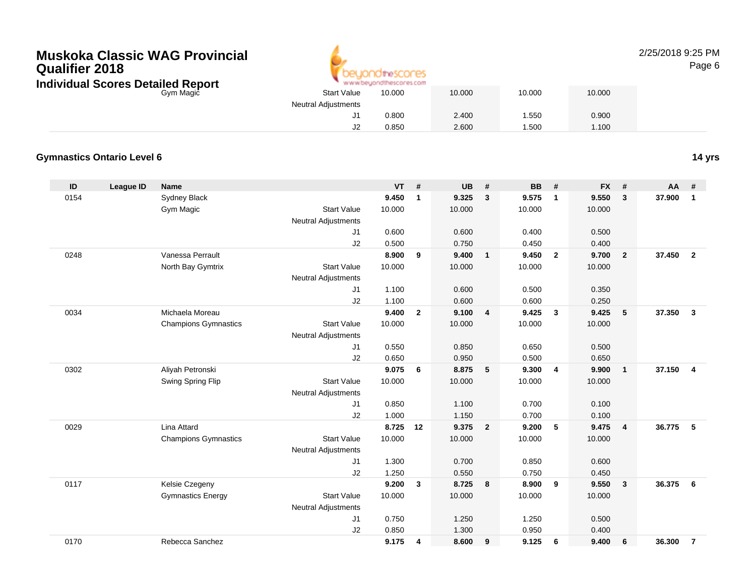## **Muskoka Classic WAG ProvincialQualifier 2018Individual**



#### 2/25/2018 9:25 PMPage 6

| <b>Start Value</b>         | 10.000 | 10.000                  | 10.000 | 10.000 |
|----------------------------|--------|-------------------------|--------|--------|
| <b>Neutral Adjustments</b> |        |                         |        |        |
| ັ                          | 0.800  | 2.400                   | .550   | 0.900  |
| J2                         | 0.850  | 2.600                   | .500   | 1.100  |
|                            |        | www.beyondthescores.com |        |        |

#### **Gymnastics Ontario Level 6**

**ID League ID Name VT # UB # BB # FX # AA #** 0154 Sydney Black **9.450 <sup>1</sup> 9.325 <sup>3</sup> 9.575 <sup>1</sup> 9.550 <sup>3</sup> 37.900 <sup>1</sup>** Gym Magic Start Valuee 10.000 10.000 10.000 10.000 Neutral Adjustments J1 0.600 0.600 0.400 0.500 J2 0.500 0.750 0.450 0.400 0248 Vanessa Perrault **8.900 <sup>9</sup> 9.400 <sup>1</sup> 9.450 <sup>2</sup> 9.700 <sup>2</sup> 37.450 <sup>2</sup>** North Bay Gymtrix Start Valuee 10.000 10.000 10.000 10.000 Neutral Adjustments J1 1.100 0.600 0.500 0.350 J2 1.100 0.600 0.600 0.250 0034 Michaela Moreau **9.400 <sup>2</sup> 9.100 <sup>4</sup> 9.425 <sup>3</sup> 9.425 <sup>5</sup> 37.350 <sup>3</sup>** Champions Gymnastics Start Valuee 10.000 10.000 10.000 10.000 Neutral Adjustments J1 0.550 0.850 0.650 0.500 J2 0.650 0.950 0.500 0.650 0302 Aliyah Petronski **9.075 <sup>6</sup> 8.875 <sup>5</sup> 9.300 <sup>4</sup> 9.900 <sup>1</sup> 37.150 <sup>4</sup>** Swing Spring Flip Start Value 10.000 10.000 10.000 10.000 Neutral Adjustments J1 0.850 1.100 0.700 0.100 J2 1.000 1.150 0.700 0.100 0029 Lina Attard **8.725 <sup>12</sup> 9.375 <sup>2</sup> 9.200 <sup>5</sup> 9.475 <sup>4</sup> 36.775 <sup>5</sup>** Champions Gymnastics Start Valuee 10.000 10.000 10.000 10.000 Neutral Adjustments J1 1.300 0.700 0.850 0.600 J2 1.250 0.550 0.750 0.450 0117 Kelsie Czegeny **9.200 <sup>3</sup> 8.725 <sup>8</sup> 8.900 <sup>9</sup> 9.550 <sup>3</sup> 36.375 <sup>6</sup>** Gymnastics Energy Start Valuee 10.000 10.000 10.000 10.000 Neutral Adjustments J1 0.750 1.250 1.250 0.500 J2 0.850 1.300 0.950 0.400 0170Rebecca Sanchez **9.175 <sup>4</sup> 8.600 <sup>9</sup> 9.125 <sup>6</sup> 9.400 <sup>6</sup> 36.300 <sup>7</sup>**

**14 yrs**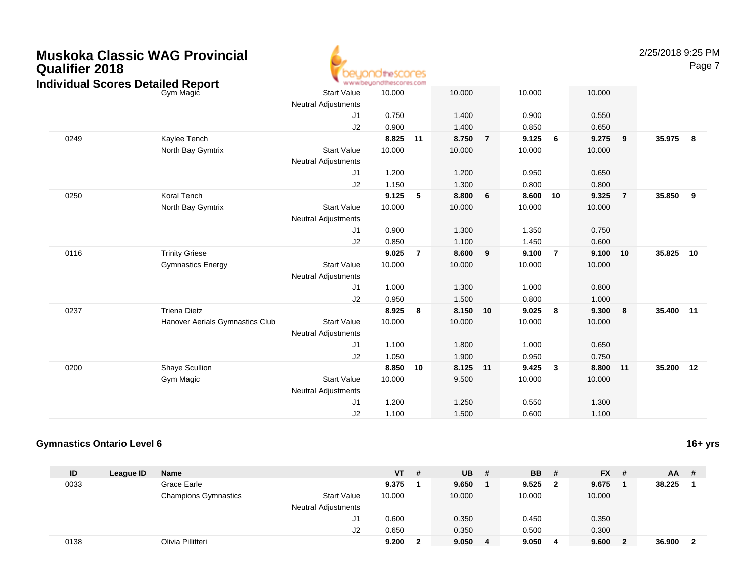| <b>Muskoka Classic WAG Provincial</b><br><b>Qualifier 2018</b><br><b>Individual Scores Detailed Report</b> |                                 |                                                  | dtheSCOCES<br>www.beyondthescores.com |                |                |                 |                |                |                |                | 2/25/2018 9:25 PM | Page 7 |
|------------------------------------------------------------------------------------------------------------|---------------------------------|--------------------------------------------------|---------------------------------------|----------------|----------------|-----------------|----------------|----------------|----------------|----------------|-------------------|--------|
|                                                                                                            | Gym Magic                       | <b>Start Value</b><br><b>Neutral Adjustments</b> | 10.000                                |                | 10.000         |                 | 10.000         |                | 10.000         |                |                   |        |
|                                                                                                            |                                 | J1<br>J2                                         | 0.750<br>0.900                        |                | 1.400<br>1.400 |                 | 0.900<br>0.850 |                | 0.550<br>0.650 |                |                   |        |
| 0249                                                                                                       | Kaylee Tench                    |                                                  | 8.825                                 | 11             | 8.750          | $\overline{7}$  | 9.125          | 6              | 9.275          | 9              | 35.975            | 8      |
|                                                                                                            | North Bay Gymtrix               | <b>Start Value</b><br><b>Neutral Adjustments</b> | 10.000                                |                | 10.000         |                 | 10.000         |                | 10.000         |                |                   |        |
|                                                                                                            |                                 | J1                                               | 1.200                                 |                | 1.200          |                 | 0.950          |                | 0.650          |                |                   |        |
|                                                                                                            |                                 | J2                                               | 1.150                                 |                | 1.300          |                 | 0.800          |                | 0.800          |                |                   |        |
| 0250                                                                                                       | Koral Tench                     |                                                  | 9.125                                 | 5              | 8.800          | $6\phantom{1}6$ | 8.600          | 10             | 9.325          | $\overline{7}$ | 35.850            | 9      |
|                                                                                                            | North Bay Gymtrix               | <b>Start Value</b><br><b>Neutral Adjustments</b> | 10.000                                |                | 10.000         |                 | 10.000         |                | 10.000         |                |                   |        |
|                                                                                                            |                                 | J1                                               | 0.900                                 |                | 1.300          |                 | 1.350          |                | 0.750          |                |                   |        |
|                                                                                                            |                                 | J2                                               | 0.850                                 |                | 1.100          |                 | 1.450          |                | 0.600          |                |                   |        |
| 0116                                                                                                       | <b>Trinity Griese</b>           |                                                  | 9.025                                 | $\overline{7}$ | 8.600          | 9               | 9.100          | $\overline{7}$ | 9.100          | 10             | 35.825            | 10     |
|                                                                                                            | <b>Gymnastics Energy</b>        | <b>Start Value</b><br><b>Neutral Adjustments</b> | 10.000                                |                | 10.000         |                 | 10.000         |                | 10.000         |                |                   |        |
|                                                                                                            |                                 | J1                                               | 1.000                                 |                | 1.300          |                 | 1.000          |                | 0.800          |                |                   |        |
|                                                                                                            |                                 | J2                                               | 0.950                                 |                | 1.500          |                 | 0.800          |                | 1.000          |                |                   |        |
| 0237                                                                                                       | <b>Triena Dietz</b>             |                                                  | 8.925                                 | 8              | 8.150          | 10              | 9.025          | 8              | 9.300          | 8              | 35.400            | 11     |
|                                                                                                            | Hanover Aerials Gymnastics Club | <b>Start Value</b><br>Neutral Adjustments        | 10.000                                |                | 10.000         |                 | 10.000         |                | 10.000         |                |                   |        |
|                                                                                                            |                                 | J1                                               | 1.100                                 |                | 1.800          |                 | 1.000          |                | 0.650          |                |                   |        |
|                                                                                                            |                                 | J2                                               | 1.050                                 |                | 1.900          |                 | 0.950          |                | 0.750          |                |                   |        |
| 0200                                                                                                       | Shaye Scullion                  |                                                  | 8.850                                 | 10             | 8.125 11       |                 | 9.425          | 3              | 8.800          | 11             | 35.200            | 12     |
|                                                                                                            | Gym Magic                       | <b>Start Value</b><br><b>Neutral Adjustments</b> | 10.000                                |                | 9.500          |                 | 10.000         |                | 10.000         |                |                   |        |
|                                                                                                            |                                 | J <sub>1</sub>                                   | 1.200                                 |                | 1.250          |                 | 0.550          |                | 1.300          |                |                   |        |
|                                                                                                            |                                 | J2                                               | 1.100                                 |                | 1.500          |                 | 0.600          |                | 1.100          |                |                   |        |

#### **Gymnastics Ontario Level 616+ yrs**

| ID   | League ID | <b>Name</b>                 |                            | <b>VT</b> | # | <b>UB</b> | # | BB.    | # | $FX$ # |   | $AA$ #   |  |
|------|-----------|-----------------------------|----------------------------|-----------|---|-----------|---|--------|---|--------|---|----------|--|
| 0033 |           | Grace Earle                 |                            | 9.375     |   | 9.650     |   | 9.525  |   | 9.675  |   | 38.225   |  |
|      |           | <b>Champions Gymnastics</b> | <b>Start Value</b>         | 10.000    |   | 10.000    |   | 10.000 |   | 10.000 |   |          |  |
|      |           |                             | <b>Neutral Adjustments</b> |           |   |           |   |        |   |        |   |          |  |
|      |           |                             | J1                         | 0.600     |   | 0.350     |   | 0.450  |   | 0.350  |   |          |  |
|      |           |                             | J2                         | 0.650     |   | 0.350     |   | 0.500  |   | 0.300  |   |          |  |
| 0138 |           | Olivia Pillitteri           |                            | 9.200     |   | 9.050     | 4 | 9.050  |   | 9.600  | 2 | 36.900 2 |  |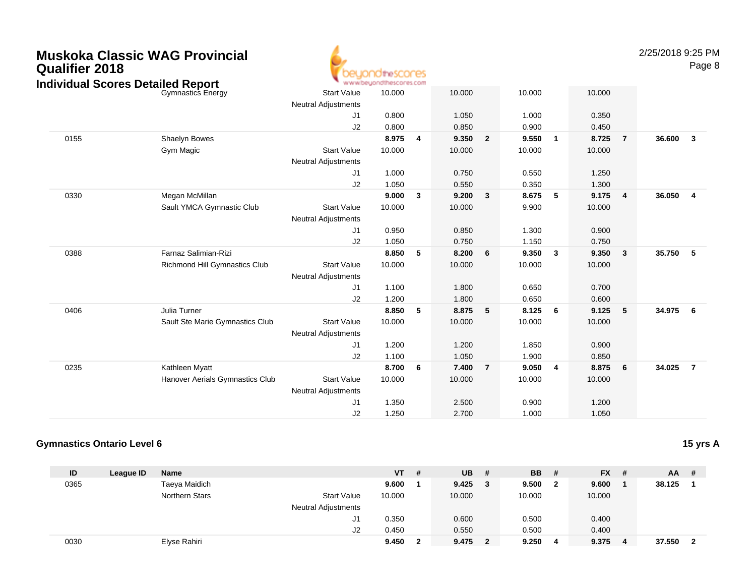### **Muskoka Classic WAG ProvincialQualifier 2018**uondthescores

2/25/2018 9:25 PMPage 8

|      | <b>Individual Scores Detailed Report</b> |                            | www.beyondthescores.com |                |        |                |        |              |        |                |        |                |
|------|------------------------------------------|----------------------------|-------------------------|----------------|--------|----------------|--------|--------------|--------|----------------|--------|----------------|
|      | <b>Gymnastics Energy</b>                 | <b>Start Value</b>         | 10.000                  |                | 10.000 |                | 10.000 |              | 10.000 |                |        |                |
|      |                                          | <b>Neutral Adjustments</b> |                         |                |        |                |        |              |        |                |        |                |
|      |                                          | J1                         | 0.800                   |                | 1.050  |                | 1.000  |              | 0.350  |                |        |                |
|      |                                          | J2                         | 0.800                   |                | 0.850  |                | 0.900  |              | 0.450  |                |        |                |
| 0155 | Shaelyn Bowes                            |                            | 8.975                   | $\overline{4}$ | 9.350  | $\overline{2}$ | 9.550  | $\mathbf{1}$ | 8.725  | $\overline{7}$ | 36.600 | $\mathbf{3}$   |
|      | Gym Magic                                | <b>Start Value</b>         | 10.000                  |                | 10.000 |                | 10.000 |              | 10.000 |                |        |                |
|      |                                          | <b>Neutral Adjustments</b> |                         |                |        |                |        |              |        |                |        |                |
|      |                                          | J1                         | 1.000                   |                | 0.750  |                | 0.550  |              | 1.250  |                |        |                |
|      |                                          | J2                         | 1.050                   |                | 0.550  |                | 0.350  |              | 1.300  |                |        |                |
| 0330 | Megan McMillan                           |                            | 9.000                   | $\mathbf{3}$   | 9.200  | $\mathbf{3}$   | 8.675  | 5            | 9.175  | $\overline{4}$ | 36.050 | $\overline{4}$ |
|      | Sault YMCA Gymnastic Club                | <b>Start Value</b>         | 10.000                  |                | 10.000 |                | 9.900  |              | 10.000 |                |        |                |
|      |                                          | <b>Neutral Adjustments</b> |                         |                |        |                |        |              |        |                |        |                |
|      |                                          | J <sub>1</sub>             | 0.950                   |                | 0.850  |                | 1.300  |              | 0.900  |                |        |                |
|      |                                          | J2                         | 1.050                   |                | 0.750  |                | 1.150  |              | 0.750  |                |        |                |
| 0388 | Farnaz Salimian-Rizi                     |                            | 8.850                   | 5              | 8.200  | 6              | 9.350  | 3            | 9.350  | $\mathbf{3}$   | 35.750 | 5              |
|      | Richmond Hill Gymnastics Club            | <b>Start Value</b>         | 10.000                  |                | 10.000 |                | 10.000 |              | 10.000 |                |        |                |
|      |                                          | <b>Neutral Adjustments</b> |                         |                |        |                |        |              |        |                |        |                |
|      |                                          | J <sub>1</sub>             | 1.100                   |                | 1.800  |                | 0.650  |              | 0.700  |                |        |                |
|      |                                          | J2                         | 1.200                   |                | 1.800  |                | 0.650  |              | 0.600  |                |        |                |
| 0406 | Julia Turner                             |                            | 8.850                   | 5              | 8.875  | 5              | 8.125  | 6            | 9.125  | $-5$           | 34.975 | 6              |
|      | Sault Ste Marie Gymnastics Club          | <b>Start Value</b>         | 10.000                  |                | 10.000 |                | 10.000 |              | 10.000 |                |        |                |
|      |                                          | <b>Neutral Adjustments</b> |                         |                |        |                |        |              |        |                |        |                |
|      |                                          | J <sub>1</sub>             | 1.200                   |                | 1.200  |                | 1.850  |              | 0.900  |                |        |                |
|      |                                          | J2                         | 1.100                   |                | 1.050  |                | 1.900  |              | 0.850  |                |        |                |
| 0235 | Kathleen Myatt                           |                            | 8.700                   | 6              | 7.400  | $\overline{7}$ | 9.050  | 4            | 8.875  | 6              | 34.025 | $\overline{7}$ |
|      | Hanover Aerials Gymnastics Club          | <b>Start Value</b>         | 10.000                  |                | 10.000 |                | 10.000 |              | 10.000 |                |        |                |
|      |                                          | <b>Neutral Adjustments</b> |                         |                |        |                |        |              |        |                |        |                |
|      |                                          | J <sub>1</sub>             | 1.350                   |                | 2.500  |                | 0.900  |              | 1.200  |                |        |                |
|      |                                          | J2                         | 1.250                   |                | 2.700  |                | 1.000  |              | 1.050  |                |        |                |
|      |                                          |                            |                         |                |        |                |        |              |        |                |        |                |

#### **Gymnastics Ontario Level 6**

**15 yrs A**

| ID   | League ID | <b>Name</b>    |                            | <b>VT</b> | # | <b>UB</b> | # | <b>BB</b> |              | <b>FX</b> | - # | AA     | -#                      |
|------|-----------|----------------|----------------------------|-----------|---|-----------|---|-----------|--------------|-----------|-----|--------|-------------------------|
| 0365 |           | Taeya Maidich  |                            | 9.600     |   | 9.425     | 3 | 9.500     | $\mathbf{2}$ | 9.600     |     | 38.125 |                         |
|      |           | Northern Stars | <b>Start Value</b>         | 10.000    |   | 10.000    |   | 10.000    |              | 10.000    |     |        |                         |
|      |           |                | <b>Neutral Adjustments</b> |           |   |           |   |           |              |           |     |        |                         |
|      |           |                | J1                         | 0.350     |   | 0.600     |   | 0.500     |              | 0.400     |     |        |                         |
|      |           |                | J <sub>2</sub>             | 0.450     |   | 0.550     |   | 0.500     |              | 0.400     |     |        |                         |
| 0030 |           | Elyse Rahiri   |                            | 9.450     |   | 9.475     | 2 | 9.250     | 4            | 9.375     | -4  | 37.550 | $\overline{\mathbf{2}}$ |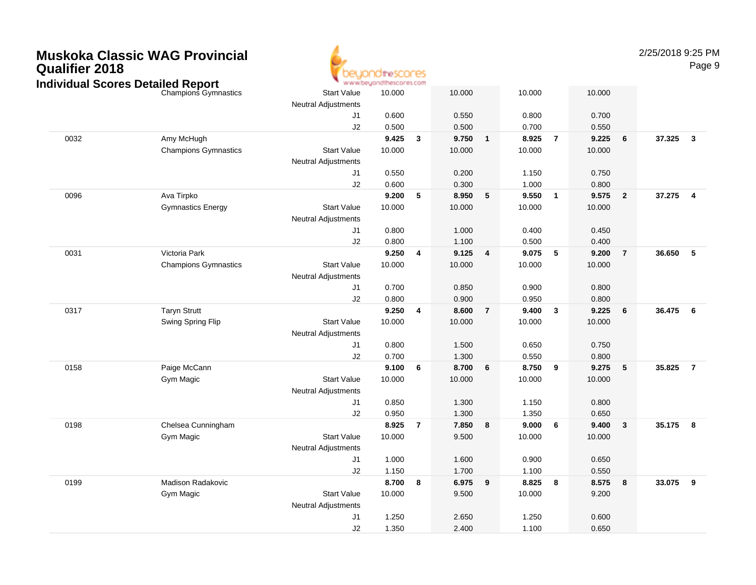

2/25/2018 9:25 PMPage 9

| Individual Scores Detailed Report |                             |                            | www.beyondthescores.com |                  |        |                |        |                |        |                          |        |                 |
|-----------------------------------|-----------------------------|----------------------------|-------------------------|------------------|--------|----------------|--------|----------------|--------|--------------------------|--------|-----------------|
|                                   | <b>Champions Gymnastics</b> | <b>Start Value</b>         | 10.000                  |                  | 10.000 |                | 10.000 |                | 10.000 |                          |        |                 |
|                                   |                             | Neutral Adjustments        |                         |                  |        |                |        |                |        |                          |        |                 |
|                                   |                             | J1                         | 0.600                   |                  | 0.550  |                | 0.800  |                | 0.700  |                          |        |                 |
|                                   |                             | J2                         | 0.500                   |                  | 0.500  |                | 0.700  |                | 0.550  |                          |        |                 |
| 0032                              | Amy McHugh                  |                            | 9.425                   | $\mathbf{3}$     | 9.750  | $\mathbf{1}$   | 8.925  | $\overline{7}$ | 9.225  | $6\phantom{1}6$          | 37.325 | $\mathbf{3}$    |
|                                   | <b>Champions Gymnastics</b> | <b>Start Value</b>         | 10.000                  |                  | 10.000 |                | 10.000 |                | 10.000 |                          |        |                 |
|                                   |                             | <b>Neutral Adjustments</b> |                         |                  |        |                |        |                |        |                          |        |                 |
|                                   |                             | J1                         | 0.550                   |                  | 0.200  |                | 1.150  |                | 0.750  |                          |        |                 |
|                                   |                             | J2                         | 0.600                   |                  | 0.300  |                | 1.000  |                | 0.800  |                          |        |                 |
| 0096                              | Ava Tirpko                  |                            | 9.200                   | $\sqrt{5}$       | 8.950  | 5              | 9.550  | $\mathbf{1}$   | 9.575  | $\overline{\mathbf{2}}$  | 37.275 | 4               |
|                                   | <b>Gymnastics Energy</b>    | <b>Start Value</b>         | 10.000                  |                  | 10.000 |                | 10.000 |                | 10.000 |                          |        |                 |
|                                   |                             | <b>Neutral Adjustments</b> |                         |                  |        |                |        |                |        |                          |        |                 |
|                                   |                             | J1                         | 0.800                   |                  | 1.000  |                | 0.400  |                | 0.450  |                          |        |                 |
|                                   |                             | J2                         | 0.800                   |                  | 1.100  |                | 0.500  |                | 0.400  |                          |        |                 |
| 0031                              | Victoria Park               |                            | 9.250                   | 4                | 9.125  | 4              | 9.075  | 5              | 9.200  | $\overline{7}$           | 36.650 | $-5$            |
|                                   | <b>Champions Gymnastics</b> | <b>Start Value</b>         | 10.000                  |                  | 10.000 |                | 10.000 |                | 10.000 |                          |        |                 |
|                                   |                             | Neutral Adjustments        |                         |                  |        |                |        |                |        |                          |        |                 |
|                                   |                             | J1                         | 0.700                   |                  | 0.850  |                | 0.900  |                | 0.800  |                          |        |                 |
|                                   |                             | J2                         | 0.800                   |                  | 0.900  |                | 0.950  |                | 0.800  |                          |        |                 |
| 0317                              | <b>Taryn Strutt</b>         |                            | 9.250                   | $\overline{4}$   | 8.600  | $\overline{7}$ | 9.400  | 3              | 9.225  | $6\phantom{1}6$          | 36.475 | $6\phantom{1}6$ |
|                                   | Swing Spring Flip           | <b>Start Value</b>         | 10.000                  |                  | 10.000 |                | 10.000 |                | 10.000 |                          |        |                 |
|                                   |                             | Neutral Adjustments        |                         |                  |        |                |        |                |        |                          |        |                 |
|                                   |                             | J <sub>1</sub>             | 0.800                   |                  | 1.500  |                | 0.650  |                | 0.750  |                          |        |                 |
|                                   |                             | J2                         | 0.700                   |                  | 1.300  |                | 0.550  |                | 0.800  |                          |        |                 |
| 0158                              | Paige McCann                |                            | 9.100                   | $6\phantom{1}6$  | 8.700  | 6              | 8.750  | 9              | 9.275  | $\overline{\phantom{0}}$ | 35.825 | $\overline{7}$  |
|                                   | Gym Magic                   | <b>Start Value</b>         | 10.000                  |                  | 10.000 |                | 10.000 |                | 10.000 |                          |        |                 |
|                                   |                             | Neutral Adjustments        |                         |                  |        |                |        |                |        |                          |        |                 |
|                                   |                             | J1                         | 0.850                   |                  | 1.300  |                | 1.150  |                | 0.800  |                          |        |                 |
|                                   |                             | J2                         | 0.950                   |                  | 1.300  |                | 1.350  |                | 0.650  |                          |        |                 |
| 0198                              | Chelsea Cunningham          |                            | 8.925                   | $\overline{7}$   | 7.850  | 8              | 9.000  | 6              | 9.400  | $\overline{\mathbf{3}}$  | 35.175 | $_{\rm 8}$      |
|                                   | Gym Magic                   | <b>Start Value</b>         | 10.000                  |                  | 9.500  |                | 10.000 |                | 10.000 |                          |        |                 |
|                                   |                             | <b>Neutral Adjustments</b> |                         |                  |        |                |        |                |        |                          |        |                 |
|                                   |                             | J1                         | 1.000                   |                  | 1.600  |                | 0.900  |                | 0.650  |                          |        |                 |
|                                   |                             | J2                         | 1.150                   |                  | 1.700  |                | 1.100  |                | 0.550  |                          |        |                 |
| 0199                              | Madison Radakovic           |                            | 8.700                   | $\boldsymbol{8}$ | 6.975  | 9              | 8.825  | 8              | 8.575  | $\boldsymbol{8}$         | 33.075 | 9               |
|                                   | Gym Magic                   | <b>Start Value</b>         | 10.000                  |                  | 9.500  |                | 10.000 |                | 9.200  |                          |        |                 |
|                                   |                             | <b>Neutral Adjustments</b> |                         |                  |        |                |        |                |        |                          |        |                 |
|                                   |                             | J1                         | 1.250                   |                  | 2.650  |                | 1.250  |                | 0.600  |                          |        |                 |
|                                   |                             | J2                         | 1.350                   |                  | 2.400  |                | 1.100  |                | 0.650  |                          |        |                 |